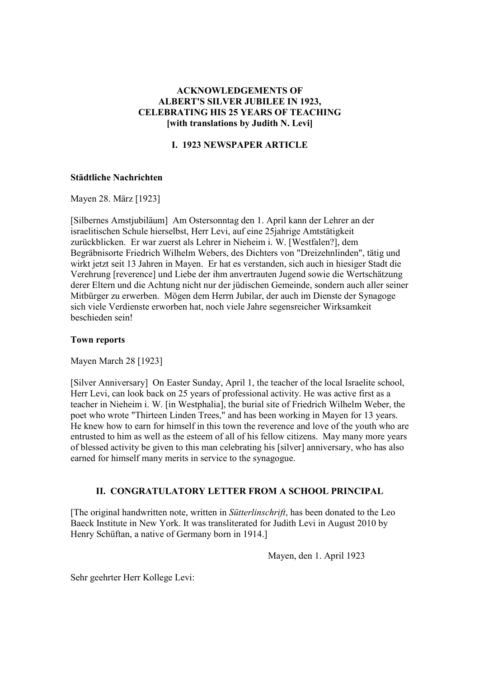## **ACKNOWLEDGEMENTS OF ALBERT'S SILVER JUBILEE IN 1923, CELEBRATING HIS 25 YEARS OF TEACHING [with translations by Judith N. Levi]**

# **I. 1923 NEWSPAPER ARTICLE**

#### **Städtliche Nachrichten**

Mayen 28. März [1923]

[Silbernes Amstjubiläum] Am Ostersonntag den 1. April kann der Lehrer an der israelitischen Schule hierselbst, Herr Levi, auf eine 25jahrige Amtstätigkeit zurückblicken. Er war zuerst als Lehrer in Nieheim i. W. [Westfalen?], dem Begräbnisorte Friedrich Wilhelm Webers, des Dichters von "Dreizehnlinden", tätig und wirkt jetzt seit 13 Jahren in Mayen. Er hat es verstanden, sich auch in hiesiger Stadt die Verehrung [reverence] und Liebe der ihm anvertrauten Jugend sowie die Wertschätzung derer Eltern und die Achtung nicht nur der jüdischen Gemeinde, sondern auch aller seiner Mitbürger zu erwerben. Mögen dem Herrn Jubilar, der auch im Dienste der Synagoge sich viele Verdienste erworben hat, noch viele Jahre segensreicher Wirksamkeit beschieden sein!

#### **Town reports**

Mayen March 28 [1923]

[Silver Anniversary] On Easter Sunday, April 1, the teacher of the local Israelite school, Herr Levi, can look back on 25 years of professional activity. He was active first as a teacher in Nieheim i. W. [in Westphalia], the burial site of Friedrich Wilhelm Weber, the poet who wrote "Thirteen Linden Trees," and has been working in Mayen for 13 years. He knew how to earn for himself in this town the reverence and love of the youth who are entrusted to him as well as the esteem of all of his fellow citizens. May many more years of blessed activity be given to this man celebrating his [silver] anniversary, who has also earned for himself many merits in service to the synagogue.

### **II. CONGRATULATORY LETTER FROM A SCHOOL PRINCIPAL**

[The original handwritten note, written in *Sütterlinschrift*, has been donated to the Leo Baeck Institute in New York. It was transliterated for Judith Levi in August 2010 by Henry Schüftan, a native of Germany born in 1914.]

Mayen, den 1. April 1923

Sehr geehrter Herr Kollege Levi: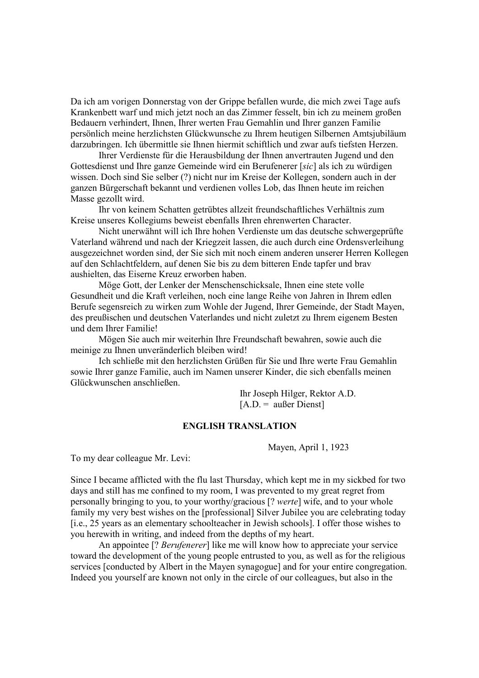Da ich am vorigen Donnerstag von der Grippe befallen wurde, die mich zwei Tage aufs Krankenbett warf und mich jetzt noch an das Zimmer fesselt, bin ich zu meinem großen Bedauern verhindert, Ihnen, Ihrer werten Frau Gemahlin und Ihrer ganzen Familie persönlich meine herzlichsten Glückwunsche zu Ihrem heutigen Silbernen Amtsjubiläum darzubringen. Ich übermittle sie Ihnen hiermit schiftlich und zwar aufs tiefsten Herzen.

 Ihrer Verdienste für die Herausbildung der Ihnen anvertrauten Jugend und den Gottesdienst und Ihre ganze Gemeinde wird ein Berufenerer [*sic*] als ich zu würdigen wissen. Doch sind Sie selber (?) nicht nur im Kreise der Kollegen, sondern auch in der ganzen Bürgerschaft bekannt und verdienen volles Lob, das Ihnen heute im reichen Masse gezollt wird.

 Ihr von keinem Schatten getrübtes allzeit freundschaftliches Verhältnis zum Kreise unseres Kollegiums beweist ebenfalls Ihren ehrenwerten Character.

 Nicht unerwähnt will ich Ihre hohen Verdienste um das deutsche schwergeprüfte Vaterland während und nach der Kriegzeit lassen, die auch durch eine Ordensverleihung ausgezeichnet worden sind, der Sie sich mit noch einem anderen unserer Herren Kollegen auf den Schlachtfeldern, auf denen Sie bis zu dem bitteren Ende tapfer und brav aushielten, das Eiserne Kreuz erworben haben.

 Möge Gott, der Lenker der Menschenschicksale, Ihnen eine stete volle Gesundheit und die Kraft verleihen, noch eine lange Reihe von Jahren in Ihrem edlen Berufe segensreich zu wirken zum Wohle der Jugend, Ihrer Gemeinde, der Stadt Mayen, des preußischen und deutschen Vaterlandes und nicht zuletzt zu Ihrem eigenem Besten und dem Ihrer Familie!

 Mögen Sie auch mir weiterhin Ihre Freundschaft bewahren, sowie auch die meinige zu Ihnen unveränderlich bleiben wird!

 Ich schließe mit den herzlichsten Grüßen für Sie und Ihre werte Frau Gemahlin sowie Ihrer ganze Familie, auch im Namen unserer Kinder, die sich ebenfalls meinen Glückwunschen anschließen.

> Ihr Joseph Hilger, Rektor A.D.  $[A, D] = \text{a} \cdot \text{a} \cdot \text{b} = \text{b} \cdot \text{b} \cdot \text{b}$

#### **ENGLISH TRANSLATION**

Mayen, April 1, 1923

To my dear colleague Mr. Levi:

Since I became afflicted with the flu last Thursday, which kept me in my sickbed for two days and still has me confined to my room, I was prevented to my great regret from personally bringing to you, to your worthy/gracious [? *werte*] wife, and to your whole family my very best wishes on the [professional] Silver Jubilee you are celebrating today [i.e., 25 years as an elementary schoolteacher in Jewish schools]. I offer those wishes to you herewith in writing, and indeed from the depths of my heart.

 An appointee [? *Berufenerer*] like me will know how to appreciate your service toward the development of the young people entrusted to you, as well as for the religious services [conducted by Albert in the Mayen synagogue] and for your entire congregation. Indeed you yourself are known not only in the circle of our colleagues, but also in the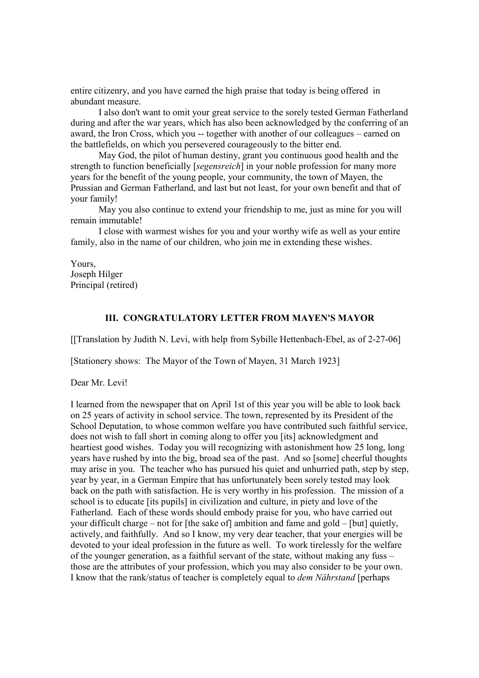entire citizenry, and you have earned the high praise that today is being offered in abundant measure.

 I also don't want to omit your great service to the sorely tested German Fatherland during and after the war years, which has also been acknowledged by the conferring of an award, the Iron Cross, which you -- together with another of our colleagues – earned on the battlefields, on which you persevered courageously to the bitter end.

 May God, the pilot of human destiny, grant you continuous good health and the strength to function beneficially [*segensreich*] in your noble profession for many more years for the benefit of the young people, your community, the town of Mayen, the Prussian and German Fatherland, and last but not least, for your own benefit and that of your family!

 May you also continue to extend your friendship to me, just as mine for you will remain immutable!

 I close with warmest wishes for you and your worthy wife as well as your entire family, also in the name of our children, who join me in extending these wishes.

Yours, Joseph Hilger Principal (retired)

## **III. CONGRATULATORY LETTER FROM MAYEN'S MAYOR**

[[Translation by Judith N. Levi, with help from Sybille Hettenbach-Ebel, as of 2-27-06]

[Stationery shows: The Mayor of the Town of Mayen, 31 March 1923]

Dear Mr. Levi!

I learned from the newspaper that on April 1st of this year you will be able to look back on 25 years of activity in school service. The town, represented by its President of the School Deputation, to whose common welfare you have contributed such faithful service, does not wish to fall short in coming along to offer you [its] acknowledgment and heartiest good wishes. Today you will recognizing with astonishment how 25 long, long years have rushed by into the big, broad sea of the past. And so [some] cheerful thoughts may arise in you. The teacher who has pursued his quiet and unhurried path, step by step, year by year, in a German Empire that has unfortunately been sorely tested may look back on the path with satisfaction. He is very worthy in his profession. The mission of a school is to educate [its pupils] in civilization and culture, in piety and love of the Fatherland. Each of these words should embody praise for you, who have carried out your difficult charge – not for [the sake of] ambition and fame and gold – [but] quietly, actively, and faithfully. And so I know, my very dear teacher, that your energies will be devoted to your ideal profession in the future as well. To work tirelessly for the welfare of the younger generation, as a faithful servant of the state, without making any fuss – those are the attributes of your profession, which you may also consider to be your own. I know that the rank/status of teacher is completely equal to *dem Nährstand* [perhaps